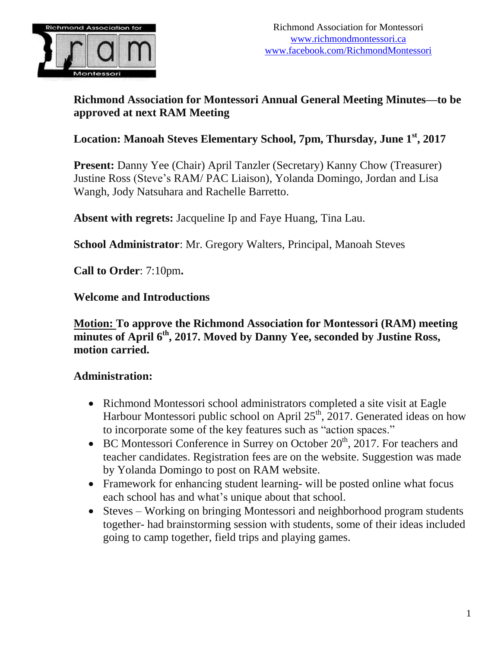

# **Richmond Association for Montessori Annual General Meeting Minutes—to be approved at next RAM Meeting**

# **Location: Manoah Steves Elementary School, 7pm, Thursday, June 1 st , 2017**

**Present:** Danny Yee (Chair) April Tanzler (Secretary) Kanny Chow (Treasurer) Justine Ross (Steve's RAM/ PAC Liaison), Yolanda Domingo, Jordan and Lisa Wangh, Jody Natsuhara and Rachelle Barretto.

**Absent with regrets:** Jacqueline Ip and Faye Huang, Tina Lau.

**School Administrator**: Mr. Gregory Walters, Principal, Manoah Steves

**Call to Order**: 7:10pm**.**

#### **Welcome and Introductions**

#### **Motion: To approve the Richmond Association for Montessori (RAM) meeting minutes of April 6 th , 2017. Moved by Danny Yee, seconded by Justine Ross, motion carried.**

### **Administration:**

- Richmond Montessori school administrators completed a site visit at Eagle Harbour Montessori public school on April  $25<sup>th</sup>$ , 2017. Generated ideas on how to incorporate some of the key features such as "action spaces."
- $\bullet$  BC Montessori Conference in Surrey on October 20<sup>th</sup>, 2017. For teachers and teacher candidates. Registration fees are on the website. Suggestion was made by Yolanda Domingo to post on RAM website.
- Framework for enhancing student learning- will be posted online what focus each school has and what's unique about that school.
- Steves Working on bringing Montessori and neighborhood program students together- had brainstorming session with students, some of their ideas included going to camp together, field trips and playing games.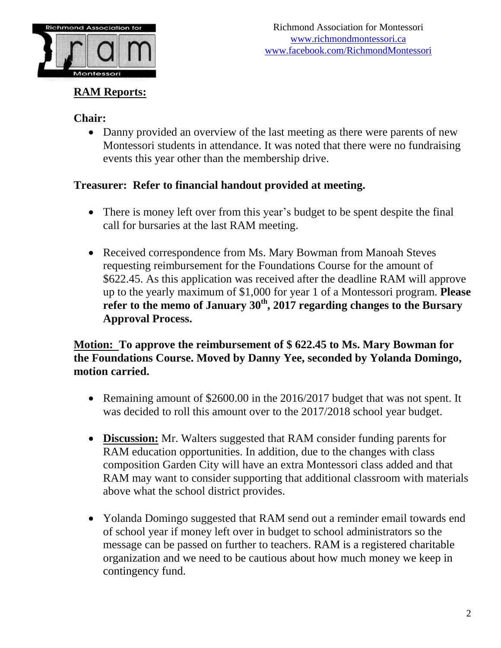

# **RAM Reports:**

### **Chair:**

• Danny provided an overview of the last meeting as there were parents of new Montessori students in attendance. It was noted that there were no fundraising events this year other than the membership drive.

# **Treasurer: Refer to financial handout provided at meeting.**

- There is money left over from this year's budget to be spent despite the final call for bursaries at the last RAM meeting.
- Received correspondence from Ms. Mary Bowman from Manoah Steves requesting reimbursement for the Foundations Course for the amount of \$622.45. As this application was received after the deadline RAM will approve up to the yearly maximum of \$1,000 for year 1 of a Montessori program. **Please refer to the memo of January 30th , 2017 regarding changes to the Bursary Approval Process.**

# **Motion: To approve the reimbursement of \$ 622.45 to Ms. Mary Bowman for the Foundations Course. Moved by Danny Yee, seconded by Yolanda Domingo, motion carried.**

- Remaining amount of \$2600.00 in the 2016/2017 budget that was not spent. It was decided to roll this amount over to the 2017/2018 school year budget.
- **Discussion:** Mr. Walters suggested that RAM consider funding parents for RAM education opportunities. In addition, due to the changes with class composition Garden City will have an extra Montessori class added and that RAM may want to consider supporting that additional classroom with materials above what the school district provides.
- Yolanda Domingo suggested that RAM send out a reminder email towards end of school year if money left over in budget to school administrators so the message can be passed on further to teachers. RAM is a registered charitable organization and we need to be cautious about how much money we keep in contingency fund.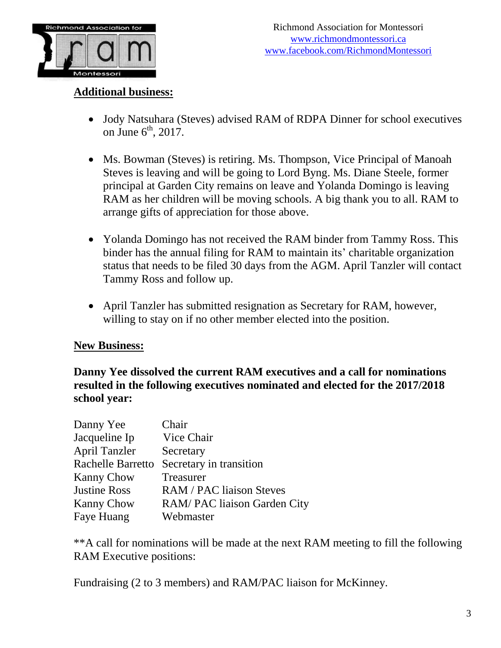

#### **Additional business:**

- Jody Natsuhara (Steves) advised RAM of RDPA Dinner for school executives on June  $6<sup>th</sup>$ , 2017.
- Ms. Bowman (Steves) is retiring. Ms. Thompson, Vice Principal of Manoah Steves is leaving and will be going to Lord Byng. Ms. Diane Steele, former principal at Garden City remains on leave and Yolanda Domingo is leaving RAM as her children will be moving schools. A big thank you to all. RAM to arrange gifts of appreciation for those above.
- Yolanda Domingo has not received the RAM binder from Tammy Ross. This binder has the annual filing for RAM to maintain its' charitable organization status that needs to be filed 30 days from the AGM. April Tanzler will contact Tammy Ross and follow up.
- April Tanzler has submitted resignation as Secretary for RAM, however, willing to stay on if no other member elected into the position.

#### **New Business:**

**Danny Yee dissolved the current RAM executives and a call for nominations resulted in the following executives nominated and elected for the 2017/2018 school year:**

| Danny Yee            | Chair                           |
|----------------------|---------------------------------|
| Jacqueline Ip        | Vice Chair                      |
| <b>April Tanzler</b> | Secretary                       |
| Rachelle Barretto    | Secretary in transition         |
| <b>Kanny Chow</b>    | Treasurer                       |
| <b>Justine Ross</b>  | <b>RAM / PAC liaison Steves</b> |
| <b>Kanny Chow</b>    | RAM/PAC liaison Garden City     |
| Faye Huang           | Webmaster                       |

\*\*A call for nominations will be made at the next RAM meeting to fill the following RAM Executive positions:

Fundraising (2 to 3 members) and RAM/PAC liaison for McKinney.